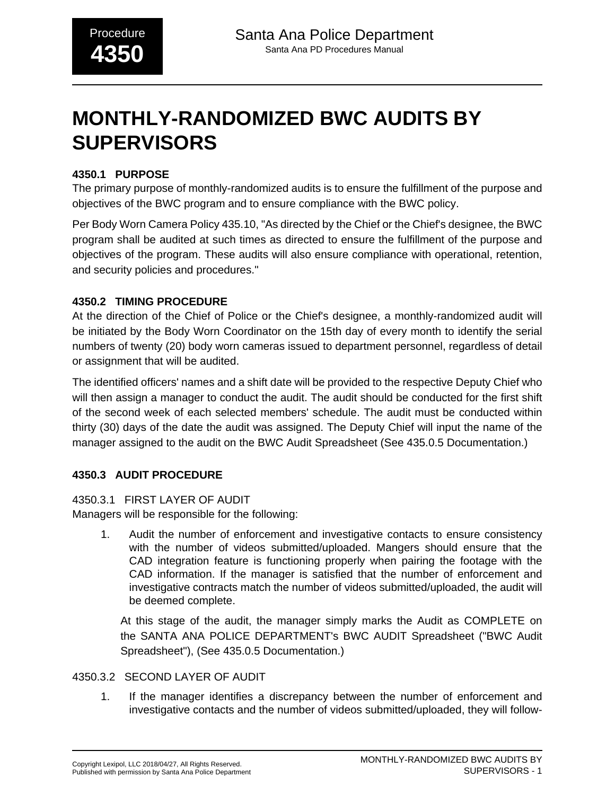# **MONTHLY-RANDOMIZED BWC AUDITS BY SUPERVISORS**

# **4350.1 PURPOSE**

The primary purpose of monthly-randomized audits is to ensure the fulfillment of the purpose and objectives of the BWC program and to ensure compliance with the BWC policy.

Per Body Worn Camera Policy 435.10, "As directed by the Chief or the Chief's designee, the BWC program shall be audited at such times as directed to ensure the fulfillment of the purpose and objectives of the program. These audits will also ensure compliance with operational, retention, and security policies and procedures."

# **4350.2 TIMING PROCEDURE**

At the direction of the Chief of Police or the Chief's designee, a monthly-randomized audit will be initiated by the Body Worn Coordinator on the 15th day of every month to identify the serial numbers of twenty (20) body worn cameras issued to department personnel, regardless of detail or assignment that will be audited.

The identified officers' names and a shift date will be provided to the respective Deputy Chief who will then assign a manager to conduct the audit. The audit should be conducted for the first shift of the second week of each selected members' schedule. The audit must be conducted within thirty (30) days of the date the audit was assigned. The Deputy Chief will input the name of the manager assigned to the audit on the BWC Audit Spreadsheet (See 435.0.5 Documentation.)

# **4350.3 AUDIT PROCEDURE**

#### 4350.3.1 FIRST LAYER OF AUDIT

Managers will be responsible for the following:

1. Audit the number of enforcement and investigative contacts to ensure consistency with the number of videos submitted/uploaded. Mangers should ensure that the CAD integration feature is functioning properly when pairing the footage with the CAD information. If the manager is satisfied that the number of enforcement and investigative contracts match the number of videos submitted/uploaded, the audit will be deemed complete.

At this stage of the audit, the manager simply marks the Audit as COMPLETE on the SANTA ANA POLICE DEPARTMENT's BWC AUDIT Spreadsheet ("BWC Audit Spreadsheet"), (See 435.0.5 Documentation.)

# 4350.3.2 SECOND LAYER OF AUDIT

1. If the manager identifies a discrepancy between the number of enforcement and investigative contacts and the number of videos submitted/uploaded, they will follow-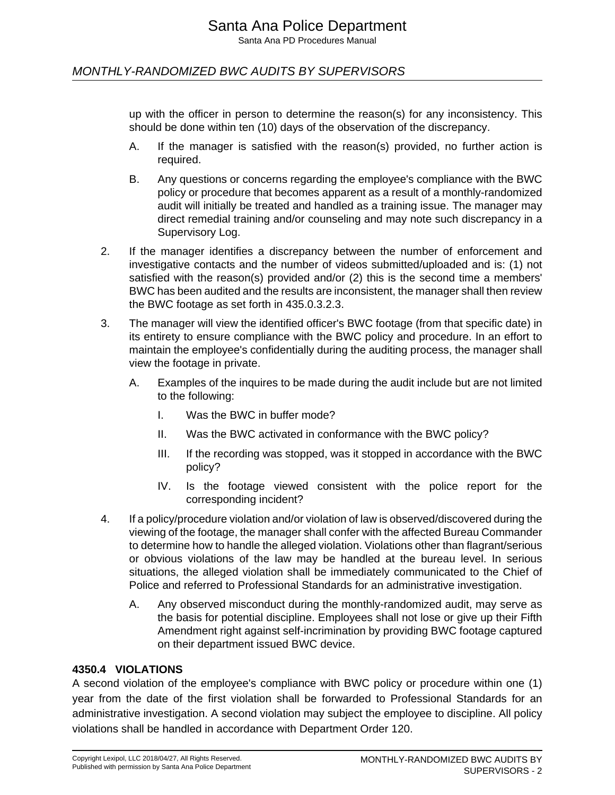# MONTHLY-RANDOMIZED BWC AUDITS BY SUPERVISORS

up with the officer in person to determine the reason(s) for any inconsistency. This should be done within ten (10) days of the observation of the discrepancy.

- A. If the manager is satisfied with the reason(s) provided, no further action is required.
- B. Any questions or concerns regarding the employee's compliance with the BWC policy or procedure that becomes apparent as a result of a monthly-randomized audit will initially be treated and handled as a training issue. The manager may direct remedial training and/or counseling and may note such discrepancy in a Supervisory Log.
- 2. If the manager identifies a discrepancy between the number of enforcement and investigative contacts and the number of videos submitted/uploaded and is: (1) not satisfied with the reason(s) provided and/or (2) this is the second time a members' BWC has been audited and the results are inconsistent, the manager shall then review the BWC footage as set forth in 435.0.3.2.3.
- 3. The manager will view the identified officer's BWC footage (from that specific date) in its entirety to ensure compliance with the BWC policy and procedure. In an effort to maintain the employee's confidentially during the auditing process, the manager shall view the footage in private.
	- A. Examples of the inquires to be made during the audit include but are not limited to the following:
		- I. Was the BWC in buffer mode?
		- II. Was the BWC activated in conformance with the BWC policy?
		- III. If the recording was stopped, was it stopped in accordance with the BWC policy?
		- IV. Is the footage viewed consistent with the police report for the corresponding incident?
- 4. If a policy/procedure violation and/or violation of law is observed/discovered during the viewing of the footage, the manager shall confer with the affected Bureau Commander to determine how to handle the alleged violation. Violations other than flagrant/serious or obvious violations of the law may be handled at the bureau level. In serious situations, the alleged violation shall be immediately communicated to the Chief of Police and referred to Professional Standards for an administrative investigation.
	- A. Any observed misconduct during the monthly-randomized audit, may serve as the basis for potential discipline. Employees shall not lose or give up their Fifth Amendment right against self-incrimination by providing BWC footage captured on their department issued BWC device.

#### **4350.4 VIOLATIONS**

A second violation of the employee's compliance with BWC policy or procedure within one (1) year from the date of the first violation shall be forwarded to Professional Standards for an administrative investigation. A second violation may subject the employee to discipline. All policy violations shall be handled in accordance with Department Order 120.